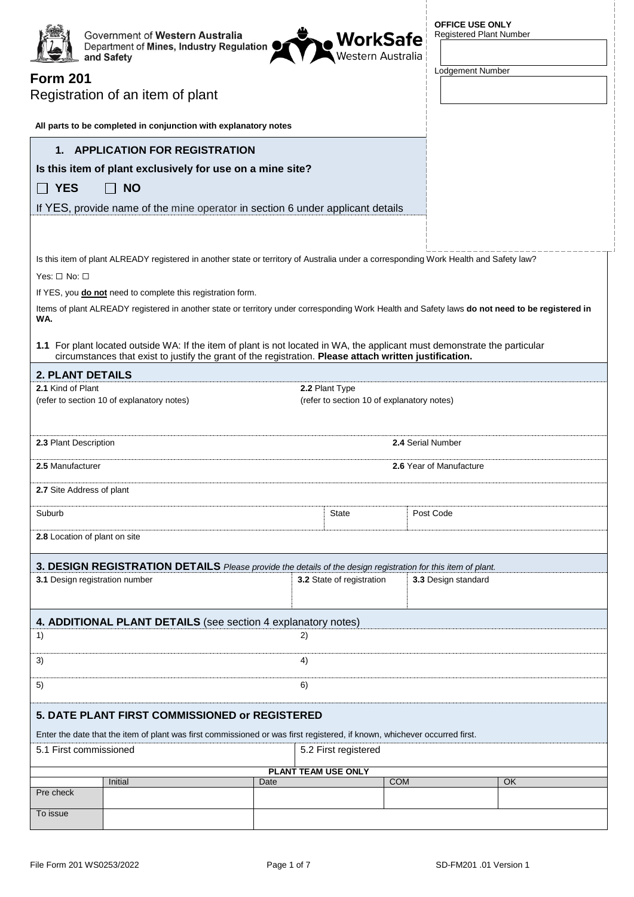| <b>Form 201</b>                                                                                                                                                                                                                       | Government of Western Australia<br>Department of Mines, Industry Regulation<br>and Safety<br>Registration of an item of plant |      | <b>, WorkSafe</b><br>\Western Australia |                   | <b>OFFICE USE ONLY</b><br><b>Registered Plant Number</b><br>Lodgement Number |    |  |  |  |  |
|---------------------------------------------------------------------------------------------------------------------------------------------------------------------------------------------------------------------------------------|-------------------------------------------------------------------------------------------------------------------------------|------|-----------------------------------------|-------------------|------------------------------------------------------------------------------|----|--|--|--|--|
| All parts to be completed in conjunction with explanatory notes                                                                                                                                                                       |                                                                                                                               |      |                                         |                   |                                                                              |    |  |  |  |  |
| 1. APPLICATION FOR REGISTRATION                                                                                                                                                                                                       |                                                                                                                               |      |                                         |                   |                                                                              |    |  |  |  |  |
| Is this item of plant exclusively for use on a mine site?                                                                                                                                                                             |                                                                                                                               |      |                                         |                   |                                                                              |    |  |  |  |  |
| <b>YES</b>                                                                                                                                                                                                                            | <b>NO</b>                                                                                                                     |      |                                         |                   |                                                                              |    |  |  |  |  |
| If YES, provide name of the mine operator in section 6 under applicant details                                                                                                                                                        |                                                                                                                               |      |                                         |                   |                                                                              |    |  |  |  |  |
|                                                                                                                                                                                                                                       |                                                                                                                               |      |                                         |                   |                                                                              |    |  |  |  |  |
| Is this item of plant ALREADY registered in another state or territory of Australia under a corresponding Work Health and Safety law?<br>Yes: $\Box$ No: $\Box$                                                                       |                                                                                                                               |      |                                         |                   |                                                                              |    |  |  |  |  |
|                                                                                                                                                                                                                                       | If YES, you do not need to complete this registration form.                                                                   |      |                                         |                   |                                                                              |    |  |  |  |  |
| Items of plant ALREADY registered in another state or territory under corresponding Work Health and Safety laws do not need to be registered in<br>WA.                                                                                |                                                                                                                               |      |                                         |                   |                                                                              |    |  |  |  |  |
| 1.1 For plant located outside WA: If the item of plant is not located in WA, the applicant must demonstrate the particular<br>circumstances that exist to justify the grant of the registration. Please attach written justification. |                                                                                                                               |      |                                         |                   |                                                                              |    |  |  |  |  |
| <b>2. PLANT DETAILS</b>                                                                                                                                                                                                               |                                                                                                                               |      |                                         |                   |                                                                              |    |  |  |  |  |
| 2.1 Kind of Plant<br>2.2 Plant Type<br>(refer to section 10 of explanatory notes)<br>(refer to section 10 of explanatory notes)                                                                                                       |                                                                                                                               |      |                                         |                   |                                                                              |    |  |  |  |  |
| 2.3 Plant Description                                                                                                                                                                                                                 |                                                                                                                               |      |                                         | 2.4 Serial Number |                                                                              |    |  |  |  |  |
| 2.5 Manufacturer                                                                                                                                                                                                                      |                                                                                                                               |      |                                         |                   | 2.6 Year of Manufacture                                                      |    |  |  |  |  |
| 2.7 Site Address of plant                                                                                                                                                                                                             |                                                                                                                               |      |                                         |                   |                                                                              |    |  |  |  |  |
| Suburb                                                                                                                                                                                                                                |                                                                                                                               |      | State                                   |                   | Post Code                                                                    |    |  |  |  |  |
|                                                                                                                                                                                                                                       | 2.8 Location of plant on site                                                                                                 |      |                                         |                   |                                                                              |    |  |  |  |  |
|                                                                                                                                                                                                                                       | 3. DESIGN REGISTRATION DETAILS Please provide the details of the design registration for this item of plant.                  |      |                                         |                   |                                                                              |    |  |  |  |  |
| 3.1 Design registration number                                                                                                                                                                                                        |                                                                                                                               |      | 3.2 State of registration               |                   | 3.3 Design standard                                                          |    |  |  |  |  |
|                                                                                                                                                                                                                                       |                                                                                                                               |      |                                         |                   |                                                                              |    |  |  |  |  |
| 1)                                                                                                                                                                                                                                    | 4. ADDITIONAL PLANT DETAILS (see section 4 explanatory notes)                                                                 | 2)   |                                         |                   |                                                                              |    |  |  |  |  |
| 3)                                                                                                                                                                                                                                    |                                                                                                                               | 4)   |                                         |                   |                                                                              |    |  |  |  |  |
| 5)                                                                                                                                                                                                                                    | 6)                                                                                                                            |      |                                         |                   |                                                                              |    |  |  |  |  |
|                                                                                                                                                                                                                                       | 5. DATE PLANT FIRST COMMISSIONED or REGISTERED                                                                                |      |                                         |                   |                                                                              |    |  |  |  |  |
|                                                                                                                                                                                                                                       | Enter the date that the item of plant was first commissioned or was first registered, if known, whichever occurred first.     |      |                                         |                   |                                                                              |    |  |  |  |  |
| 5.1 First commissioned<br>5.2 First registered                                                                                                                                                                                        |                                                                                                                               |      |                                         |                   |                                                                              |    |  |  |  |  |
|                                                                                                                                                                                                                                       |                                                                                                                               |      | PLANT TEAM USE ONLY                     |                   |                                                                              |    |  |  |  |  |
| Pre check                                                                                                                                                                                                                             | Initial                                                                                                                       | Date |                                         | <b>COM</b>        |                                                                              | OK |  |  |  |  |
| To issue                                                                                                                                                                                                                              |                                                                                                                               |      |                                         |                   |                                                                              |    |  |  |  |  |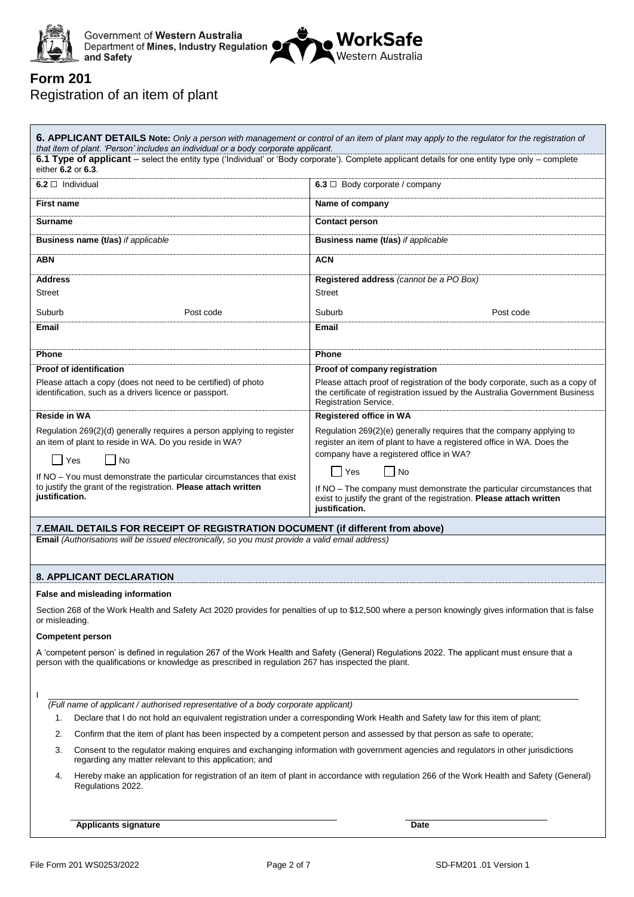



### **Form 201** Registration of an item of plant

| that item of plant. 'Person' includes an individual or a body corporate applicant.                                                                                                                                                                   | 6. APPLICANT DETAILS Note: Only a person with management or control of an item of plant may apply to the regulator for the registration of                                                  |  |  |  |  |
|------------------------------------------------------------------------------------------------------------------------------------------------------------------------------------------------------------------------------------------------------|---------------------------------------------------------------------------------------------------------------------------------------------------------------------------------------------|--|--|--|--|
| 6.1 Type of applicant - select the entity type ('Individual' or 'Body corporate'). Complete applicant details for one entity type only - complete<br>either 6.2 or 6.3.                                                                              |                                                                                                                                                                                             |  |  |  |  |
| $6.2 \Box$ Individual                                                                                                                                                                                                                                | 6.3 $\Box$ Body corporate / company                                                                                                                                                         |  |  |  |  |
| <b>First name</b>                                                                                                                                                                                                                                    | Name of company                                                                                                                                                                             |  |  |  |  |
| <b>Surname</b>                                                                                                                                                                                                                                       | <b>Contact person</b>                                                                                                                                                                       |  |  |  |  |
| <b>Business name (t/as)</b> if applicable                                                                                                                                                                                                            | <b>Business name (t/as)</b> if applicable                                                                                                                                                   |  |  |  |  |
| <b>ABN</b>                                                                                                                                                                                                                                           | <b>ACN</b>                                                                                                                                                                                  |  |  |  |  |
| <b>Address</b>                                                                                                                                                                                                                                       | Registered address (cannot be a PO Box)                                                                                                                                                     |  |  |  |  |
| <b>Street</b>                                                                                                                                                                                                                                        | <b>Street</b>                                                                                                                                                                               |  |  |  |  |
| Suburb<br>Post code                                                                                                                                                                                                                                  | Suburb<br>Post code                                                                                                                                                                         |  |  |  |  |
| Email                                                                                                                                                                                                                                                | <b>Email</b>                                                                                                                                                                                |  |  |  |  |
| Phone                                                                                                                                                                                                                                                | <b>Phone</b>                                                                                                                                                                                |  |  |  |  |
| <b>Proof of identification</b>                                                                                                                                                                                                                       | Proof of company registration                                                                                                                                                               |  |  |  |  |
| Please attach a copy (does not need to be certified) of photo<br>identification, such as a drivers licence or passport.                                                                                                                              | Please attach proof of registration of the body corporate, such as a copy of<br>the certificate of registration issued by the Australia Government Business<br><b>Registration Service.</b> |  |  |  |  |
| Reside in WA                                                                                                                                                                                                                                         | Registered office in WA                                                                                                                                                                     |  |  |  |  |
| Regulation 269(2)(d) generally requires a person applying to register<br>an item of plant to reside in WA. Do you reside in WA?                                                                                                                      | Regulation 269(2)(e) generally requires that the company applying to<br>register an item of plant to have a registered office in WA. Does the<br>company have a registered office in WA?    |  |  |  |  |
| Yes<br>No                                                                                                                                                                                                                                            | ∣No<br>l Yes                                                                                                                                                                                |  |  |  |  |
| If NO - You must demonstrate the particular circumstances that exist<br>to justify the grant of the registration. Please attach written<br>justification.                                                                                            | If NO - The company must demonstrate the particular circumstances that<br>exist to justify the grant of the registration. Please attach written<br>justification.                           |  |  |  |  |
| 7.EMAIL DETAILS FOR RECEIPT OF REGISTRATION DOCUMENT (if different from above)                                                                                                                                                                       |                                                                                                                                                                                             |  |  |  |  |
| Email (Authorisations will be issued electronically, so you must provide a valid email address)                                                                                                                                                      |                                                                                                                                                                                             |  |  |  |  |
| <b>8. APPLICANT DECLARATION</b>                                                                                                                                                                                                                      |                                                                                                                                                                                             |  |  |  |  |
| False and misleading information                                                                                                                                                                                                                     |                                                                                                                                                                                             |  |  |  |  |
| or misleading.                                                                                                                                                                                                                                       | Section 268 of the Work Health and Safety Act 2020 provides for penalties of up to \$12,500 where a person knowingly gives information that is false                                        |  |  |  |  |
| <b>Competent person</b>                                                                                                                                                                                                                              |                                                                                                                                                                                             |  |  |  |  |
| A 'competent person' is defined in regulation 267 of the Work Health and Safety (General) Regulations 2022. The applicant must ensure that a<br>person with the qualifications or knowledge as prescribed in regulation 267 has inspected the plant. |                                                                                                                                                                                             |  |  |  |  |

I \_\_\_\_\_\_\_\_\_\_\_\_\_\_\_\_\_\_\_\_\_\_\_\_\_\_\_\_\_\_\_\_\_\_\_\_\_\_\_\_\_\_\_\_\_\_\_\_\_\_\_\_\_\_\_\_\_\_\_\_\_\_\_\_\_\_\_\_\_\_\_\_\_\_\_\_\_\_\_\_\_\_\_\_\_\_\_\_\_\_\_\_\_\_\_\_\_\_\_\_\_\_\_\_\_\_\_\_\_\_\_\_  *(Full name of applicant / authorised representative of a body corporate applicant)*

- 1. Declare that I do not hold an equivalent registration under a corresponding Work Health and Safety law for this item of plant;
- 2. Confirm that the item of plant has been inspected by a competent person and assessed by that person as safe to operate;
- 3. Consent to the regulator making enquires and exchanging information with government agencies and regulators in other jurisdictions regarding any matter relevant to this application; and
- 4. Hereby make an application for registration of an item of plant in accordance with regulation 266 of the Work Health and Safety (General) Regulations 2022.

**Applicants signature Date**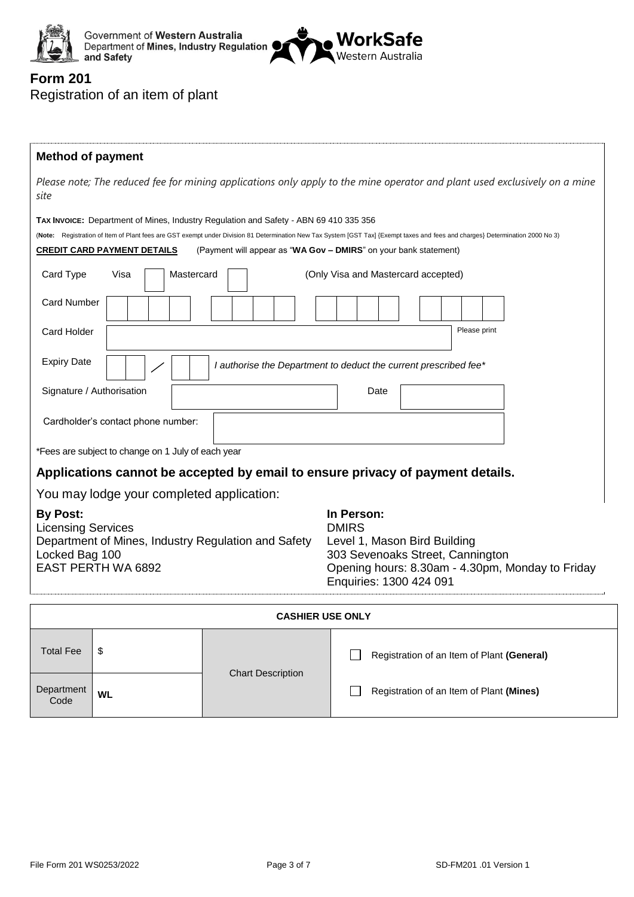



## **Form 201** Registration of an item of plant

| <b>Method of payment</b>                                                                                                                           |                                                    |            |                                                                                       |                                                                                                                                                                                |  |  |  |
|----------------------------------------------------------------------------------------------------------------------------------------------------|----------------------------------------------------|------------|---------------------------------------------------------------------------------------|--------------------------------------------------------------------------------------------------------------------------------------------------------------------------------|--|--|--|
| site                                                                                                                                               |                                                    |            |                                                                                       | Please note; The reduced fee for mining applications only apply to the mine operator and plant used exclusively on a mine                                                      |  |  |  |
|                                                                                                                                                    |                                                    |            | TAX INVOICE: Department of Mines, Industry Regulation and Safety - ABN 69 410 335 356 | (Note: Registration of Item of Plant fees are GST exempt under Division 81 Determination New Tax System [GST Tax] {Exempt taxes and fees and charges} Determination 2000 No 3) |  |  |  |
| Card Type                                                                                                                                          | <b>CREDIT CARD PAYMENT DETAILS</b><br>Visa         | Mastercard |                                                                                       | (Payment will appear as "WA Gov - DMIRS" on your bank statement)<br>(Only Visa and Mastercard accepted)                                                                        |  |  |  |
| <b>Card Number</b>                                                                                                                                 |                                                    |            |                                                                                       |                                                                                                                                                                                |  |  |  |
| <b>Card Holder</b>                                                                                                                                 |                                                    |            |                                                                                       | Please print                                                                                                                                                                   |  |  |  |
| <b>Expiry Date</b>                                                                                                                                 |                                                    |            | I authorise the Department to deduct the current prescribed fee*                      |                                                                                                                                                                                |  |  |  |
| Signature / Authorisation                                                                                                                          |                                                    |            |                                                                                       | Date                                                                                                                                                                           |  |  |  |
| Cardholder's contact phone number:                                                                                                                 |                                                    |            |                                                                                       |                                                                                                                                                                                |  |  |  |
|                                                                                                                                                    | *Fees are subject to change on 1 July of each year |            |                                                                                       |                                                                                                                                                                                |  |  |  |
|                                                                                                                                                    |                                                    |            |                                                                                       | Applications cannot be accepted by email to ensure privacy of payment details.                                                                                                 |  |  |  |
|                                                                                                                                                    | You may lodge your completed application:          |            |                                                                                       |                                                                                                                                                                                |  |  |  |
| <b>By Post:</b><br><b>Licensing Services</b><br>Department of Mines, Industry Regulation and Safety<br>Locked Bag 100<br><b>EAST PERTH WA 6892</b> |                                                    |            |                                                                                       | In Person:<br><b>DMIRS</b><br>Level 1, Mason Bird Building<br>303 Sevenoaks Street, Cannington<br>Opening hours: 8.30am - 4.30pm, Monday to Friday<br>Enquiries: 1300 424 091  |  |  |  |
|                                                                                                                                                    |                                                    |            |                                                                                       | <b>CASHIER USE ONLY</b>                                                                                                                                                        |  |  |  |
| <b>Total Fee</b><br>\$                                                                                                                             |                                                    |            | <b>Chart Description</b>                                                              | Registration of an Item of Plant (General)                                                                                                                                     |  |  |  |
| Department                                                                                                                                         | <b>WL</b>                                          |            |                                                                                       | Registration of an Item of Plant (Mines)                                                                                                                                       |  |  |  |

 $\overline{C}$ ode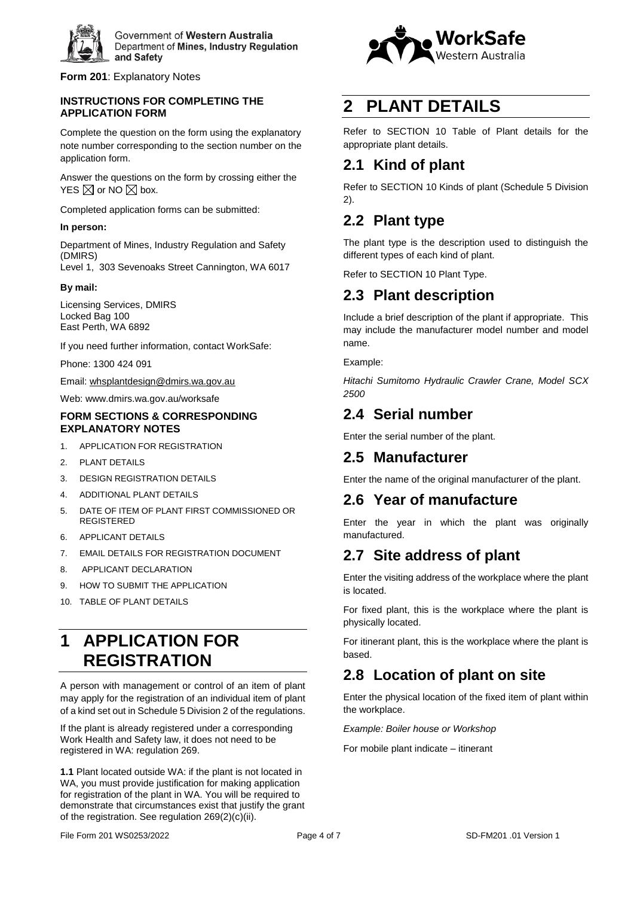

**Form 201**: Explanatory Notes

#### **INSTRUCTIONS FOR COMPLETING THE APPLICATION FORM**

Complete the question on the form using the explanatory note number corresponding to the section number on the application form.

Answer the questions on the form by crossing either the YES  $\boxtimes$  or NO  $\boxtimes$  box.

Completed application forms can be submitted:

#### **In person:**

Department of Mines, Industry Regulation and Safety (DMIRS)

Level 1, 303 Sevenoaks Street Cannington, WA 6017

#### **By mail:**

Licensing Services, DMIRS Locked Bag 100 East Perth, WA 6892

If you need further information, contact WorkSafe:

Phone: 1300 424 091

Email: [whsplantdesign@dmirs.wa.gov.au](mailto:whsplantdesign@dmirs.wa.gov.au)

Web: www.dmirs.wa.gov.au/worksafe

#### **FORM SECTIONS & CORRESPONDING EXPLANATORY NOTES**

- 1. APPLICATION FOR REGISTRATION
- 2. PLANT DETAILS
- 3. DESIGN REGISTRATION DETAILS
- 4. ADDITIONAL PLANT DETAILS
- 5. DATE OF ITEM OF PLANT FIRST COMMISSIONED OR REGISTERED
- 6. APPLICANT DETAILS
- 7. EMAIL DETAILS FOR REGISTRATION DOCUMENT
- 8. APPLICANT DECLARATION
- 9. HOW TO SUBMIT THE APPLICATION
- 10. TABLE OF PLANT DETAILS

# **1 APPLICATION FOR REGISTRATION**

A person with management or control of an item of plant may apply for the registration of an individual item of plant of a kind set out in Schedule 5 Division 2 of the regulations.

If the plant is already registered under a corresponding Work Health and Safety law, it does not need to be registered in WA: regulation 269.

**1.1** Plant located outside WA: if the plant is not located in WA, you must provide justification for making application for registration of the plant in WA. You will be required to demonstrate that circumstances exist that justify the grant of the registration. See regulation 269(2)(c)(ii).



## **2 PLANT DETAILS**

Refer to SECTION 10 Table of Plant details for the appropriate plant details.

## **2.1 Kind of plant**

Refer to SECTION 10 Kinds of plant (Schedule 5 Division 2).

## **2.2 Plant type**

The plant type is the description used to distinguish the different types of each kind of plant.

Refer to SECTION 10 Plant Type.

### **2.3 Plant description**

Include a brief description of the plant if appropriate. This may include the manufacturer model number and model name.

Example:

*Hitachi Sumitomo Hydraulic Crawler Crane, Model SCX 2500*

## **2.4 Serial number**

Enter the serial number of the plant.

## **2.5 Manufacturer**

Enter the name of the original manufacturer of the plant.

## **2.6 Year of manufacture**

Enter the year in which the plant was originally manufactured.

## **2.7 Site address of plant**

Enter the visiting address of the workplace where the plant is located.

For fixed plant, this is the workplace where the plant is physically located.

For itinerant plant, this is the workplace where the plant is based.

## **2.8 Location of plant on site**

Enter the physical location of the fixed item of plant within the workplace.

*Example: Boiler house or Workshop*

For mobile plant indicate – itinerant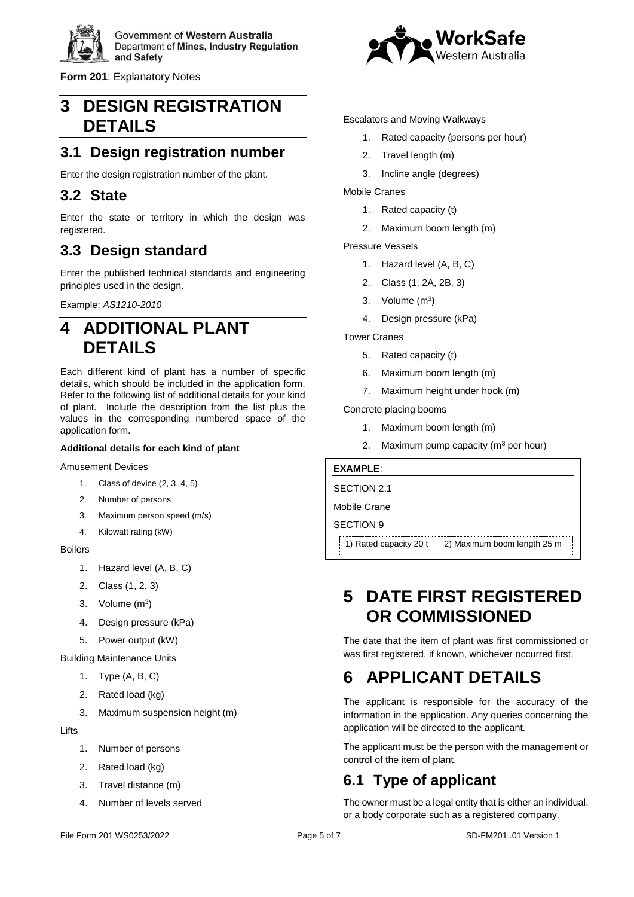

**Form 201**: Explanatory Notes

## **3 DESIGN REGISTRATION DETAILS**

## **3.1 Design registration number**

Enter the design registration number of the plant.

### **3.2 State**

Enter the state or territory in which the design was registered.

## **3.3 Design standard**

Enter the published technical standards and engineering principles used in the design.

Example: *AS1210-2010*

## **4 ADDITIONAL PLANT DETAILS**

Each different kind of plant has a number of specific details, which should be included in the application form. Refer to the following list of additional details for your kind of plant. Include the description from the list plus the values in the corresponding numbered space of the application form.

#### **Additional details for each kind of plant**

Amusement Devices

- 1. Class of device (2, 3, 4, 5)
- 2. Number of persons
- 3. Maximum person speed (m/s)
- 4. Kilowatt rating (kW)

#### Boilers

- 1. Hazard level (A, B, C)
- 2. Class (1, 2, 3)
- 3. Volume  $(m^3)$
- 4. Design pressure (kPa)
- 5. Power output (kW)

Building Maintenance Units

- 1. Type (A, B, C)
- 2. Rated load (kg)
- 3. Maximum suspension height (m)

Lifts

- 1. Number of persons
- 2. Rated load (kg)
- 3. Travel distance (m)
- 4. Number of levels served



#### Escalators and Moving Walkways

- 1. Rated capacity (persons per hour)
- 2. Travel length (m)
- 3. Incline angle (degrees)

Mobile Cranes

- 1. Rated capacity (t)
- 2. Maximum boom length (m)

Pressure Vessels

- 1. Hazard level (A, B, C)
- 2. Class (1, 2A, 2B, 3)
- 3. Volume  $(m^3)$
- 4. Design pressure (kPa)

Tower Cranes

- 5. Rated capacity (t)
- 6. Maximum boom length (m)
- 7. Maximum height under hook (m)

Concrete placing booms

- 1. Maximum boom length (m)
- 2. Maximum pump capacity  $(m^3$  per hour)

#### **EXAMPLE**:

SECTION 2.1

Mobile Crane

#### SECTION 9

1) Rated capacity 20 t  $\vert$  2) Maximum boom length 25 m

## **5 DATE FIRST REGISTERED OR COMMISSIONED**

The date that the item of plant was first commissioned or was first registered, if known, whichever occurred first.

# **6 APPLICANT DETAILS**

The applicant is responsible for the accuracy of the information in the application. Any queries concerning the application will be directed to the applicant.

The applicant must be the person with the management or control of the item of plant.

# **6.1 Type of applicant**

The owner must be a legal entity that is either an individual, or a body corporate such as a registered company.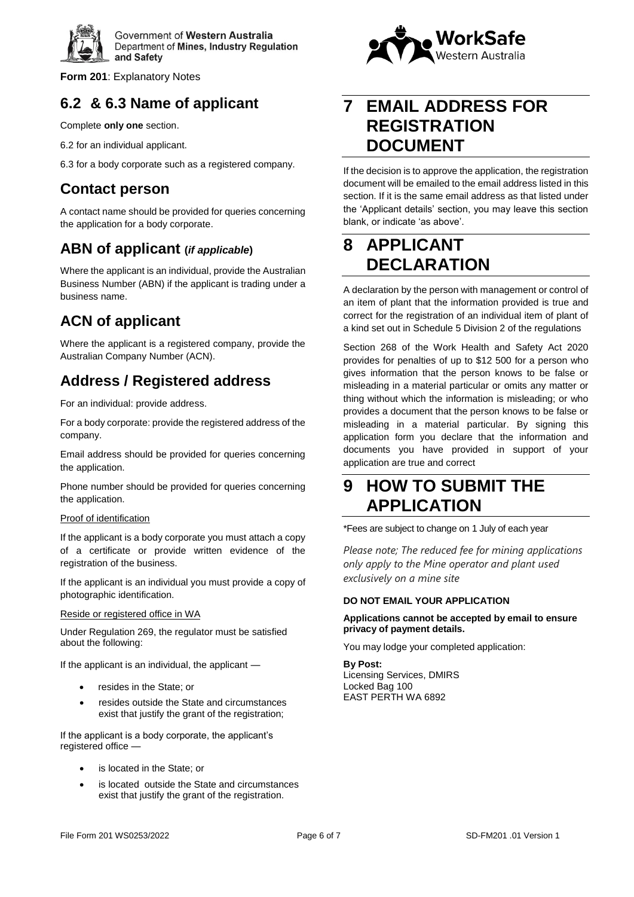

**Form 201**: Explanatory Notes

## **6.2 & 6.3 Name of applicant**

Complete **only one** section.

- 6.2 for an individual applicant.
- 6.3 for a body corporate such as a registered company.

### **Contact person**

A contact name should be provided for queries concerning the application for a body corporate.

## **ABN of applicant (***if applicable***)**

Where the applicant is an individual, provide the Australian Business Number (ABN) if the applicant is trading under a business name.

## **ACN of applicant**

Where the applicant is a registered company, provide the Australian Company Number (ACN).

## **Address / Registered address**

For an individual: provide address.

For a body corporate: provide the registered address of the company.

Email address should be provided for queries concerning the application.

Phone number should be provided for queries concerning the application.

#### Proof of identification

If the applicant is a body corporate you must attach a copy of a certificate or provide written evidence of the registration of the business.

If the applicant is an individual you must provide a copy of photographic identification.

#### Reside or registered office in WA

Under Regulation 269, the regulator must be satisfied about the following:

If the applicant is an individual, the applicant —

- resides in the State; or
- resides outside the State and circumstances exist that justify the grant of the registration;

If the applicant is a body corporate, the applicant's registered office —

- is located in the State; or
- is located outside the State and circumstances exist that justify the grant of the registration.



## **7 EMAIL ADDRESS FOR REGISTRATION DOCUMENT**

If the decision is to approve the application, the registration document will be emailed to the email address listed in this section. If it is the same email address as that listed under the 'Applicant details' section, you may leave this section blank, or indicate 'as above'.

# **8 APPLICANT DECLARATION**

A declaration by the person with management or control of an item of plant that the information provided is true and correct for the registration of an individual item of plant of a kind set out in Schedule 5 Division 2 of the regulations

Section 268 of the Work Health and Safety Act 2020 provides for penalties of up to \$12 500 for a person who gives information that the person knows to be false or misleading in a material particular or omits any matter or thing without which the information is misleading; or who provides a document that the person knows to be false or misleading in a material particular. By signing this application form you declare that the information and documents you have provided in support of your application are true and correct

## **9 HOW TO SUBMIT THE APPLICATION**

\*Fees are subject to change on 1 July of each year

*Please note; The reduced fee for mining applications only apply to the Mine operator and plant used exclusively on a mine site*

#### **DO NOT EMAIL YOUR APPLICATION**

#### **Applications cannot be accepted by email to ensure privacy of payment details.**

You may lodge your completed application:

**By Post:**  Licensing Services, DMIRS Locked Bag 100 EAST PERTH WA 6892